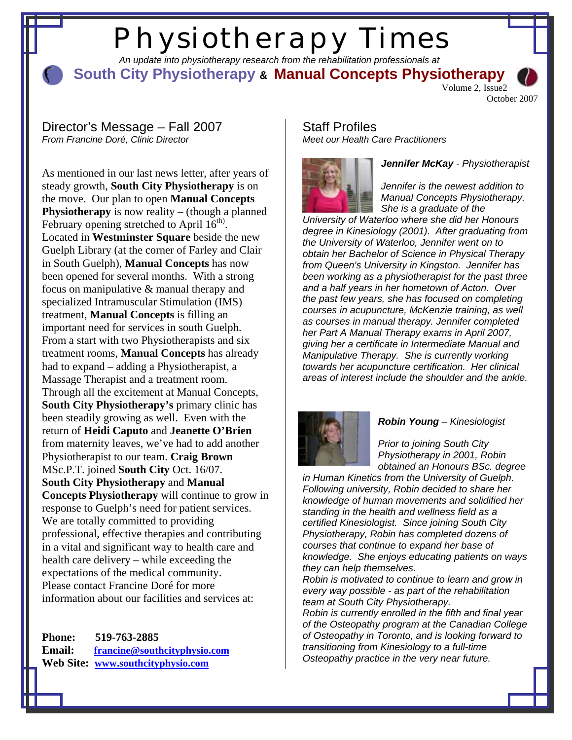# Physiotherapy Times

 *An update into physiotherapy research from the rehabilitation professionals at* 

**South City Physiotherapy & Manual Concepts Physiotherapy** Volume 2, Issue2

October 2007

### Director's Message – Fall 2007 *From Francine Doré, Clinic Director*

As mentioned in our last news letter, after years of steady growth, **South City Physiotherapy** is on the move. Our plan to open **Manual Concepts Physiotherapy** is now reality – (though a planned February opening stretched to April  $16<sup>th</sup>$ . Located in **Westminster Square** beside the new Guelph Library (at the corner of Farley and Clair in South Guelph), **Manual Concepts** has now been opened for several months. With a strong focus on manipulative & manual therapy and specialized Intramuscular Stimulation (IMS) treatment, **Manual Concepts** is filling an important need for services in south Guelph. From a start with two Physiotherapists and six treatment rooms, **Manual Concepts** has already had to expand – adding a Physiotherapist, a Massage Therapist and a treatment room. Through all the excitement at Manual Concepts, **South City Physiotherapy's** primary clinic has been steadily growing as well. Even with the return of **Heidi Caputo** and **Jeanette O'Brien** from maternity leaves, we've had to add another Physiotherapist to our team. **Craig Brown** MSc.P.T. joined **South City** Oct. 16/07. **South City Physiotherapy** and **Manual Concepts Physiotherapy** will continue to grow in response to Guelph's need for patient services. We are totally committed to providing professional, effective therapies and contributing in a vital and significant way to health care and health care delivery – while exceeding the expectations of the medical community. Please contact Francine Doré for more information about our facilities and services at:

**Phone: 519-763-2885 Email: [francine@southcityphysio.com](mailto:francine@southcityphysio.com)  Web Site: [www.southcityphysio.com](http://www.southcityphysio.com/)**

### Staff Profiles *Meet our Health Care Practitioners*



*Jennifer McKay - Physiotherapist* 

*Jennifer is the newest addition to Manual Concepts Physiotherapy. She is a graduate of the* 

*University of Waterloo where she did her Honours degree in Kinesiology (2001). After graduating from the University of Waterloo, Jennifer went on to obtain her Bachelor of Science in Physical Therapy from Queen's University in Kingston. Jennifer has been working as a physiotherapist for the past three and a half years in her hometown of Acton. Over the past few years, she has focused on completing courses in acupuncture, McKenzie training, as well as courses in manual therapy. Jennifer completed her Part A Manual Therapy exams in April 2007, giving her a certificate in Intermediate Manual and Manipulative Therapy. She is currently working towards her acupuncture certification. Her clinical areas of interest include the shoulder and the ankle.* 



### *Robin Young – Kinesiologist*

*Prior to joining South City Physiotherapy in 2001, Robin obtained an Honours BSc. degree* 

*in Human Kinetics from the University of Guelph. Following university, Robin decided to share her knowledge of human movements and solidified her standing in the health and wellness field as a certified Kinesiologist. Since joining South City Physiotherapy, Robin has completed dozens of courses that continue to expand her base of knowledge. She enjoys educating patients on ways they can help themselves.* 

*Robin is motivated to continue to learn and grow in every way possible - as part of the rehabilitation team at South City Physiotherapy.* 

*Robin is currently enrolled in the fifth and final year of the Osteopathy program at the Canadian College of Osteopathy in Toronto, and is looking forward to transitioning from Kinesiology to a full-time Osteopathy practice in the very near future.*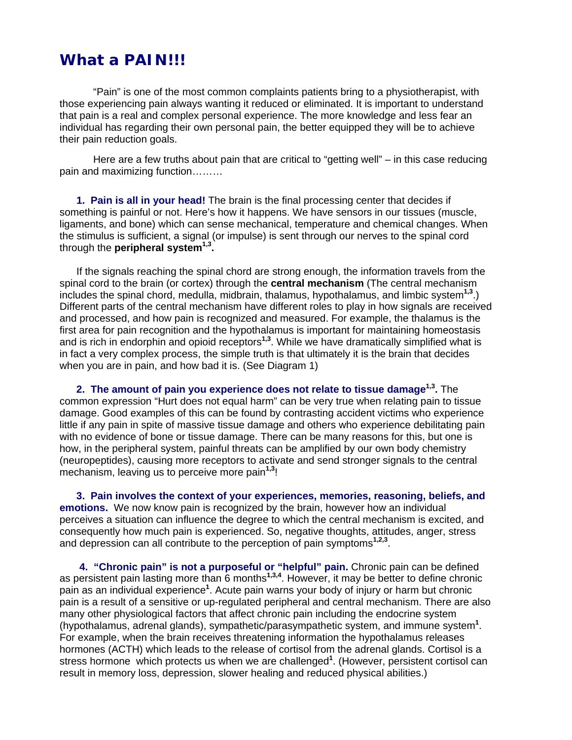### **What a PAIN!!!**

"Pain" is one of the most common complaints patients bring to a physiotherapist, with those experiencing pain always wanting it reduced or eliminated. It is important to understand that pain is a real and complex personal experience. The more knowledge and less fear an individual has regarding their own personal pain, the better equipped they will be to achieve their pain reduction goals.

Here are a few truths about pain that are critical to "getting well" – in this case reducing pain and maximizing function………

**1. Pain is all in your head!** The brain is the final processing center that decides if something is painful or not. Here's how it happens. We have sensors in our tissues (muscle, ligaments, and bone) which can sense mechanical, temperature and chemical changes. When the stimulus is sufficient, a signal (or impulse) is sent through our nerves to the spinal cord through the **peripheral system1,3.** 

If the signals reaching the spinal chord are strong enough, the information travels from the spinal cord to the brain (or cortex) through the **central mechanism** (The central mechanism includes the spinal chord, medulla, midbrain, thalamus, hypothalamus, and limbic system**1,3**.) Different parts of the central mechanism have different roles to play in how signals are received and processed, and how pain is recognized and measured. For example, the thalamus is the first area for pain recognition and the hypothalamus is important for maintaining homeostasis and is rich in endorphin and opioid receptors**1,3**. While we have dramatically simplified what is in fact a very complex process, the simple truth is that ultimately it is the brain that decides when you are in pain, and how bad it is. (See Diagram 1)

**2. The amount of pain you experience does not relate to tissue damage<sup>1,3</sup>. The** common expression "Hurt does not equal harm" can be very true when relating pain to tissue damage. Good examples of this can be found by contrasting accident victims who experience little if any pain in spite of massive tissue damage and others who experience debilitating pain with no evidence of bone or tissue damage. There can be many reasons for this, but one is how, in the peripheral system, painful threats can be amplified by our own body chemistry (neuropeptides), causing more receptors to activate and send stronger signals to the central mechanism, leaving us to perceive more pain**1,3**!

**3. Pain involves the context of your experiences, memories, reasoning, beliefs, and emotions.** We now know pain is recognized by the brain, however how an individual perceives a situation can influence the degree to which the central mechanism is excited, and consequently how much pain is experienced. So, negative thoughts, attitudes, anger, stress and depression can all contribute to the perception of pain symptoms**1,2,3**.

**4. "Chronic pain" is not a purposeful or "helpful" pain.** Chronic pain can be defined as persistent pain lasting more than 6 months**1,3,4**. However, it may be better to define chronic pain as an individual experience**<sup>1</sup>** . Acute pain warns your body of injury or harm but chronic pain is a result of a sensitive or up-regulated peripheral and central mechanism. There are also many other physiological factors that affect chronic pain including the endocrine system (hypothalamus, adrenal glands), sympathetic/parasympathetic system, and immune system**<sup>1</sup>** . For example, when the brain receives threatening information the hypothalamus releases hormones (ACTH) which leads to the release of cortisol from the adrenal glands. Cortisol is a stress hormone which protects us when we are challenged**<sup>1</sup>** . (However, persistent cortisol can result in memory loss, depression, slower healing and reduced physical abilities.)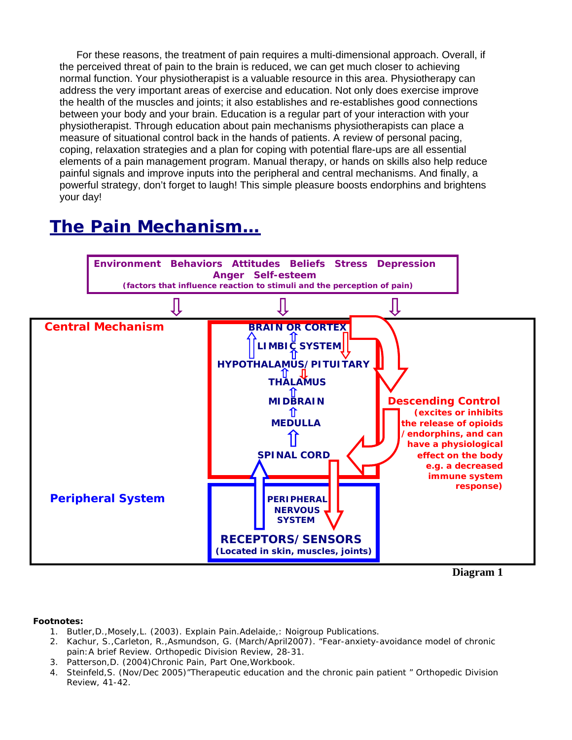For these reasons, the treatment of pain requires a multi-dimensional approach. Overall, if the perceived threat of pain to the brain is reduced, we can get much closer to achieving normal function. Your physiotherapist is a valuable resource in this area. Physiotherapy can address the very important areas of exercise and education. Not only does exercise improve the health of the muscles and joints; it also establishes and re-establishes good connections between your body and your brain. Education is a regular part of your interaction with your physiotherapist. Through education about pain mechanisms physiotherapists can place a measure of situational control back in the hands of patients. A review of personal pacing, coping, relaxation strategies and a plan for coping with potential flare-ups are all essential elements of a pain management program. Manual therapy, or hands on skills also help reduce painful signals and improve inputs into the peripheral and central mechanisms. And finally, a powerful strategy, don't forget to laugh! This simple pleasure boosts endorphins and brightens your day!

# **The Pain Mechanism…**



**Diagram 1** 

#### **Footnotes:**

- 1. Butler,D.,Mosely,L. (2003). Explain Pain.Adelaide,: Noigroup Publications.
- 2. Kachur, S.,Carleton, R.,Asmundson, G. (March/April2007). "Fear-anxiety-avoidance model of chronic pain:A brief Review. Orthopedic Division Review, 28-31.
- 3. Patterson,D. (2004)Chronic Pain, Part One,Workbook.
- 4. Steinfeld,S. (Nov/Dec 2005)"Therapeutic education and the chronic pain patient " Orthopedic Division Review, 41-42.